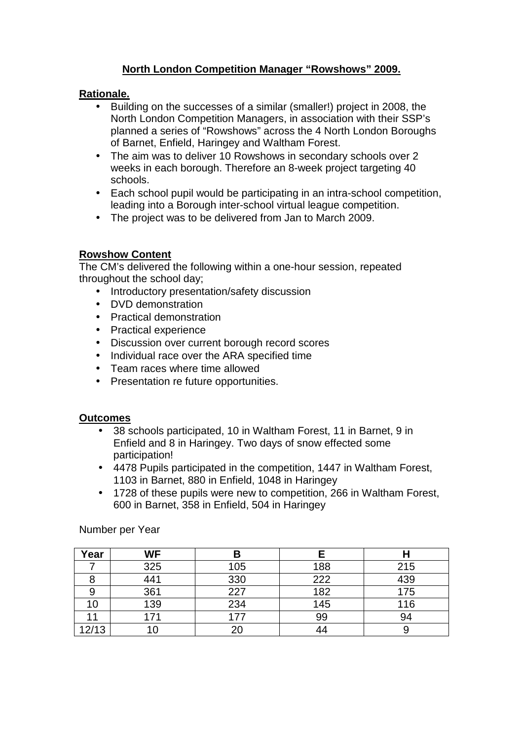# **North London Competition Manager "Rowshows" 2009.**

### **Rationale.**

- Building on the successes of a similar (smaller!) project in 2008, the North London Competition Managers, in association with their SSP's planned a series of "Rowshows" across the 4 North London Boroughs of Barnet, Enfield, Haringey and Waltham Forest.
- The aim was to deliver 10 Rowshows in secondary schools over 2 weeks in each borough. Therefore an 8-week project targeting 40 schools.
- Each school pupil would be participating in an intra-school competition, leading into a Borough inter-school virtual league competition.
- The project was to be delivered from Jan to March 2009.

## **Rowshow Content**

The CM's delivered the following within a one-hour session, repeated throughout the school day;

- Introductory presentation/safety discussion
- DVD demonstration
- Practical demonstration
- Practical experience
- Discussion over current borough record scores
- Individual race over the ARA specified time
- Team races where time allowed
- Presentation re future opportunities.

#### **Outcomes**

- 38 schools participated, 10 in Waltham Forest, 11 in Barnet, 9 in Enfield and 8 in Haringey. Two days of snow effected some participation!
- 4478 Pupils participated in the competition, 1447 in Waltham Forest, 1103 in Barnet, 880 in Enfield, 1048 in Haringey
- 1728 of these pupils were new to competition, 266 in Waltham Forest, 600 in Barnet, 358 in Enfield, 504 in Haringey

| Year  | WF  |     |     |     |
|-------|-----|-----|-----|-----|
|       | 325 | 105 | 188 | 215 |
|       | 441 | 330 | 222 | 439 |
| 9     | 361 | 227 | 182 | 175 |
| 10    | 139 | 234 | 145 | 116 |
|       | 171 | 177 | 99  | 94  |
| 12/13 |     | 20  |     |     |

Number per Year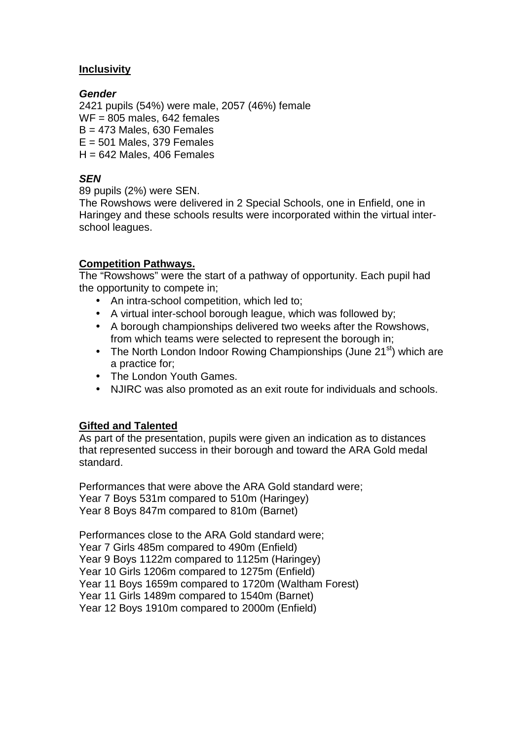# **Inclusivity**

## **Gender**

2421 pupils (54%) were male, 2057 (46%) female  $WF = 805$  males, 642 females  $B = 473$  Males, 630 Females  $E = 501$  Males, 379 Females  $H = 642$  Males, 406 Females

# **SEN**

89 pupils (2%) were SEN.

The Rowshows were delivered in 2 Special Schools, one in Enfield, one in Haringey and these schools results were incorporated within the virtual interschool leagues.

### **Competition Pathways.**

The "Rowshows" were the start of a pathway of opportunity. Each pupil had the opportunity to compete in;

- An intra-school competition, which led to;
- A virtual inter-school borough league, which was followed by;
- A borough championships delivered two weeks after the Rowshows, from which teams were selected to represent the borough in;
- The North London Indoor Rowing Championships (June  $21<sup>st</sup>$ ) which are a practice for;
- The London Youth Games.
- NJIRC was also promoted as an exit route for individuals and schools.

## **Gifted and Talented**

As part of the presentation, pupils were given an indication as to distances that represented success in their borough and toward the ARA Gold medal standard.

Performances that were above the ARA Gold standard were; Year 7 Boys 531m compared to 510m (Haringey) Year 8 Boys 847m compared to 810m (Barnet)

Performances close to the ARA Gold standard were; Year 7 Girls 485m compared to 490m (Enfield) Year 9 Boys 1122m compared to 1125m (Haringey) Year 10 Girls 1206m compared to 1275m (Enfield) Year 11 Boys 1659m compared to 1720m (Waltham Forest) Year 11 Girls 1489m compared to 1540m (Barnet) Year 12 Boys 1910m compared to 2000m (Enfield)